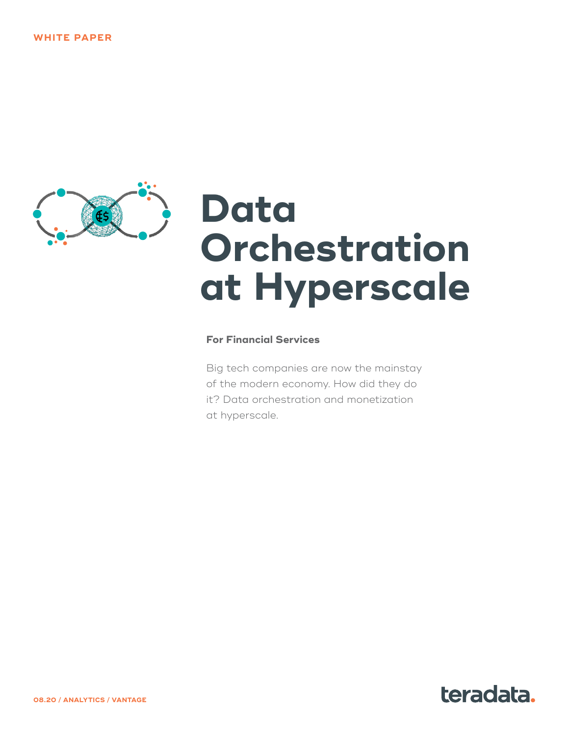

# **Data Orchestration at Hyperscale**

#### **For Financial Services**

Big tech companies are now the mainstay of the modern economy. How did they do it? Data orchestration and monetization at hyperscale.

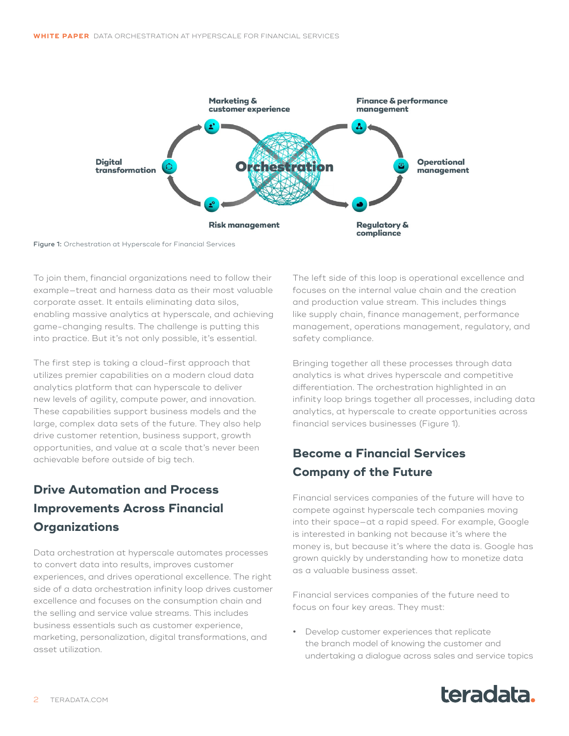

Figure 1: Orchestration at Hyperscale for Financial Services

To join them, financial organizations need to follow their example—treat and harness data as their most valuable corporate asset. It entails eliminating data silos, enabling massive analytics at hyperscale, and achieving game-changing results. The challenge is putting this into practice. But it's not only possible, it's essential.

The first step is taking a cloud-first approach that utilizes premier capabilities on a modern cloud data analytics platform that can hyperscale to deliver new levels of agility, compute power, and innovation. These capabilities support business models and the large, complex data sets of the future. They also help drive customer retention, business support, growth opportunities, and value at a scale that's never been achievable before outside of big tech.

# **Drive Automation and Process Improvements Across Financial Organizations**

Data orchestration at hyperscale automates processes to convert data into results, improves customer experiences, and drives operational excellence. The right side of a data orchestration infinity loop drives customer excellence and focuses on the consumption chain and the selling and service value streams. This includes business essentials such as customer experience, marketing, personalization, digital transformations, and asset utilization.

The left side of this loop is operational excellence and focuses on the internal value chain and the creation and production value stream. This includes things like supply chain, finance management, performance management, operations management, regulatory, and safety compliance.

Bringing together all these processes through data analytics is what drives hyperscale and competitive differentiation. The orchestration highlighted in an infinity loop brings together all processes, including data analytics, at hyperscale to create opportunities across financial services businesses (Figure 1).

## **Become a Financial Services Company of the Future**

Financial services companies of the future will have to compete against hyperscale tech companies moving into their space—at a rapid speed. For example, Google is interested in banking not because it's where the money is, but because it's where the data is. Google has grown quickly by understanding how to monetize data as a valuable business asset.

Financial services companies of the future need to focus on four key areas. They must:

**•** Develop customer experiences that replicate the branch model of knowing the customer and undertaking a dialogue across sales and service topics